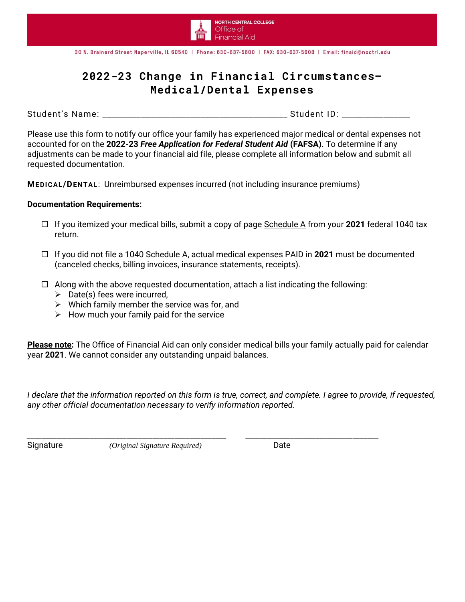

30 N. Brainard Street Naperville, IL 60540 | Phone: 630-637-5600 | FAX: 630-637-5608 | Email: finaid@noctrl.edu

## **2022-23 Change in Financial Circumstances— Medical/Dental Expenses**

Student's Name: \_\_\_\_\_\_\_\_\_\_\_\_\_\_\_\_\_\_\_\_\_\_\_\_\_\_\_\_\_\_\_\_\_\_\_\_\_\_\_\_\_\_\_\_\_\_\_\_\_ Student ID: \_\_\_\_\_\_\_\_\_\_\_\_\_\_\_\_\_\_

Please use this form to notify our office your family has experienced major medical or dental expenses not accounted for on the **2022-23** *Free Application for Federal Student Aid* **(FAFSA)**. To determine if any adjustments can be made to your financial aid file, please complete all information below and submit all requested documentation.

**MEDICAL/DENTAL**: Unreimbursed expenses incurred (not including insurance premiums)

## **Documentation Requirements:**

- If you itemized your medical bills, submit a copy of page Schedule A from your **2021** federal 1040 tax return.
- If you did not file a 1040 Schedule A, actual medical expenses PAID in **2021** must be documented (canceled checks, billing invoices, insurance statements, receipts).
- $\Box$  Along with the above requested documentation, attach a list indicating the following:

*\_\_\_\_\_\_\_\_\_\_\_\_\_\_\_\_\_\_\_\_\_\_\_\_\_\_\_\_\_\_\_\_\_\_\_\_\_\_\_\_\_\_\_\_\_\_\_\_\_\_\_\_\_\_ \_\_\_\_\_\_\_\_\_\_\_\_\_\_\_\_\_\_\_\_\_\_\_\_\_\_\_\_\_\_\_\_\_\_\_\_*

- $\triangleright$  Date(s) fees were incurred,
- $\triangleright$  Which family member the service was for, and
- $\triangleright$  How much your family paid for the service

**Please note:** The Office of Financial Aid can only consider medical bills your family actually paid for calendar year **2021**. We cannot consider any outstanding unpaid balances*.*

*I declare that the information reported on this form is true, correct, and complete. I agree to provide, if requested, any other official documentation necessary to verify information reported.*

Signature *(Original Signature Required)* Date